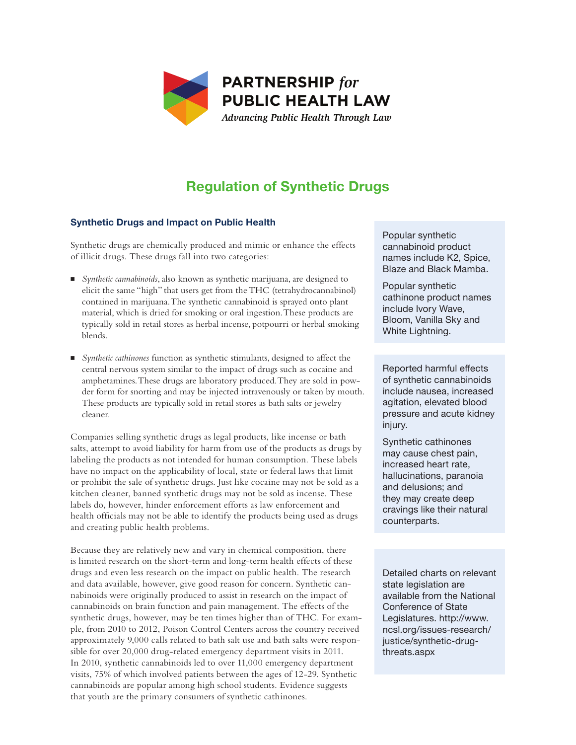

# **Regulation of Synthetic Drugs**

## **Synthetic Drugs and Impact on Public Health**

Synthetic drugs are chemically produced and mimic or enhance the effects **Can**<br> **PUBLIC HEALTH LAW CONTACT CONTACT CONTRACT CONTACT CONTRACT CONTRACT CONTRACT CONTRACT CONTRACT CONTRACT CONTRACT CONTRACT CONTRACT CONTRACT** of illicit drugs. These drugs fall into two categories:

- N *Synthetic cannabinoids*, also known as synthetic marijuana, are designed to elicit the same "high" that users get from the THC (tetrahydrocannabinol) contained in marijuana. The synthetic cannabinoid is sprayed onto plant material, which is dried for smoking or oral ingestion. These products are typically sold in retail stores as herbal incense, potpourri or herbal smoking blends.
- N *Synthetic cathinones* function as synthetic stimulants, designed to affect the central nervous system similar to the impact of drugs such as cocaine and amphetamines. These drugs are laboratory produced. They are sold in powder form for snorting and may be injected intravenously or taken by mouth. These products are typically sold in retail stores as bath salts or jewelry cleaner.

Companies selling synthetic drugs as legal products, like incense or bath salts, attempt to avoid liability for harm from use of the products as drugs by labeling the products as not intended for human consumption. These labels have no impact on the applicability of local, state or federal laws that limit or prohibit the sale of synthetic drugs. Just like cocaine may not be sold as a kitchen cleaner, banned synthetic drugs may not be sold as incense. These labels do, however, hinder enforcement efforts as law enforcement and health officials may not be able to identify the products being used as drugs and creating public health problems.

Because they are relatively new and vary in chemical composition, there is limited research on the short-term and long-term health effects of these drugs and even less research on the impact on public health. The research and data available, however, give good reason for concern. Synthetic cannabinoids were originally produced to assist in research on the impact of cannabinoids on brain function and pain management. The effects of the synthetic drugs, however, may be ten times higher than of THC. For example, from 2010 to 2012, Poison Control Centers across the country received approximately 9,000 calls related to bath salt use and bath salts were responsible for over 20,000 drug-related emergency department visits in 2011. In 2010, synthetic cannabinoids led to over 11,000 emergency department visits, 75% of which involved patients between the ages of 12-29. Synthetic cannabinoids are popular among high school students. Evidence suggests that youth are the primary consumers of synthetic cathinones.

*Advancing Public Health Through Law* Popular synthetic cannabinoid product names include K2, Spice, Blaze and Black Mamba.

> Popular synthetic cathinone product names include Ivory Wave, Bloom, Vanilla Sky and White Lightning.

Reported harmful effects of synthetic cannabinoids include nausea, increased agitation, elevated blood pressure and acute kidney injury.

Synthetic cathinones may cause chest pain, increased heart rate, hallucinations, paranoia and delusions; and they may create deep cravings like their natural counterparts.

Detailed charts on relevant state legislation are available from the National Conference of State Legislatures. http://www. ncsl.org/issues-research/ justice/synthetic-drugthreats.aspx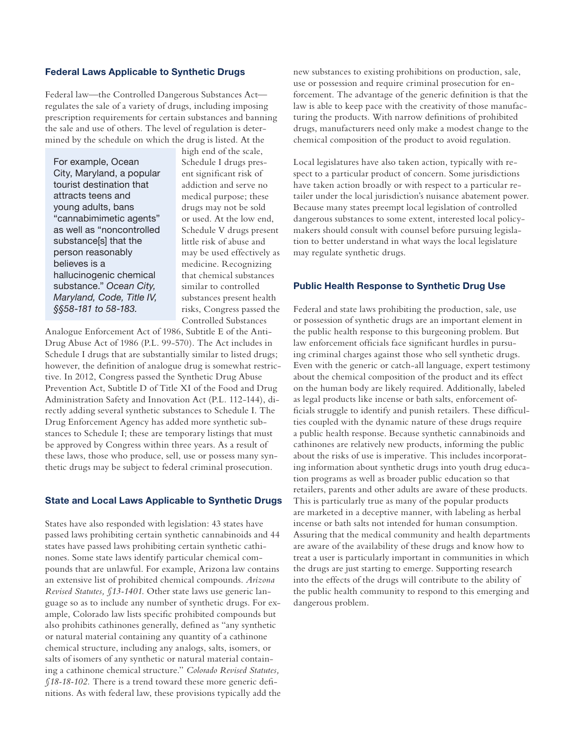## **Federal Laws Applicable to Synthetic Drugs**

Federal law—the Controlled Dangerous Substances Act regulates the sale of a variety of drugs, including imposing prescription requirements for certain substances and banning the sale and use of others. The level of regulation is determined by the schedule on which the drug is listed. At the

For example, Ocean City, Maryland, a popular tourist destination that attracts teens and young adults, bans "cannabimimetic agents" as well as "noncontrolled substance<sup>[s]</sup> that the person reasonably believes is a hallucinogenic chemical substance." *Ocean City, Maryland, Code, Title IV, §§58-181 to 58-183.*

high end of the scale, Schedule I drugs present significant risk of addiction and serve no medical purpose; these drugs may not be sold or used. At the low end, Schedule V drugs present little risk of abuse and may be used effectively as medicine. Recognizing that chemical substances similar to controlled substances present health risks, Congress passed the Controlled Substances

Analogue Enforcement Act of 1986, Subtitle E of the Anti-Drug Abuse Act of 1986 (P.L. 99-570). The Act includes in Schedule I drugs that are substantially similar to listed drugs; however, the definition of analogue drug is somewhat restrictive. In 2012, Congress passed the Synthetic Drug Abuse Prevention Act, Subtitle D of Title XI of the Food and Drug Administration Safety and Innovation Act (P.L. 112-144), directly adding several synthetic substances to Schedule I. The Drug Enforcement Agency has added more synthetic substances to Schedule I; these are temporary listings that must be approved by Congress within three years. As a result of these laws, those who produce, sell, use or possess many synthetic drugs may be subject to federal criminal prosecution.

#### **State and Local Laws Applicable to Synthetic Drugs**

States have also responded with legislation: 43 states have passed laws prohibiting certain synthetic cannabinoids and 44 states have passed laws prohibiting certain synthetic cathinones. Some state laws identify particular chemical compounds that are unlawful. For example, Arizona law contains an extensive list of prohibited chemical compounds. *Arizona Revised Statutes, §13-1401*. Other state laws use generic language so as to include any number of synthetic drugs. For example, Colorado law lists specific prohibited compounds but also prohibits cathinones generally, defined as "any synthetic or natural material containing any quantity of a cathinone chemical structure, including any analogs, salts, isomers, or salts of isomers of any synthetic or natural material containing a cathinone chemical structure." *Colorado Revised Statutes, §18-18-102.* There is a trend toward these more generic definitions. As with federal law, these provisions typically add the new substances to existing prohibitions on production, sale, use or possession and require criminal prosecution for enforcement. The advantage of the generic definition is that the law is able to keep pace with the creativity of those manufacturing the products. With narrow definitions of prohibited drugs, manufacturers need only make a modest change to the chemical composition of the product to avoid regulation.

Local legislatures have also taken action, typically with respect to a particular product of concern. Some jurisdictions have taken action broadly or with respect to a particular retailer under the local jurisdiction's nuisance abatement power. Because many states preempt local legislation of controlled dangerous substances to some extent, interested local policymakers should consult with counsel before pursuing legislation to better understand in what ways the local legislature may regulate synthetic drugs.

### **Public Health Response to Synthetic Drug Use**

Federal and state laws prohibiting the production, sale, use or possession of synthetic drugs are an important element in the public health response to this burgeoning problem. But law enforcement officials face significant hurdles in pursuing criminal charges against those who sell synthetic drugs. Even with the generic or catch-all language, expert testimony about the chemical composition of the product and its effect on the human body are likely required. Additionally, labeled as legal products like incense or bath salts, enforcement officials struggle to identify and punish retailers. These difficulties coupled with the dynamic nature of these drugs require a public health response. Because synthetic cannabinoids and cathinones are relatively new products, informing the public about the risks of use is imperative. This includes incorporating information about synthetic drugs into youth drug education programs as well as broader public education so that retailers, parents and other adults are aware of these products. This is particularly true as many of the popular products are marketed in a deceptive manner, with labeling as herbal incense or bath salts not intended for human consumption. Assuring that the medical community and health departments are aware of the availability of these drugs and know how to treat a user is particularly important in communities in which the drugs are just starting to emerge. Supporting research into the effects of the drugs will contribute to the ability of the public health community to respond to this emerging and dangerous problem.